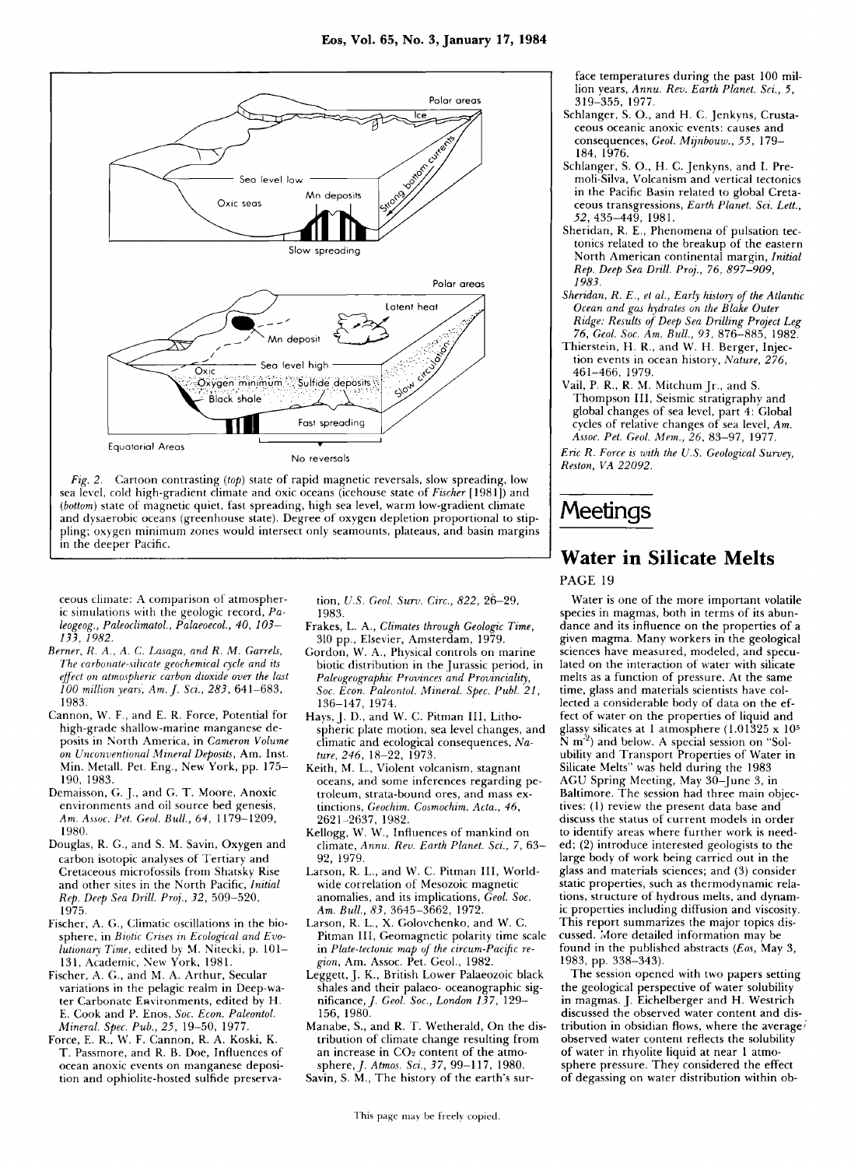

*Fig. 2.* Cartoon contrasting *(top)* state of rapid magnetic reversals, slow spreading, low sea level, cold high-gradient climate and oxic oceans (icehouse state of *Fischer* [1981]) and *(bottom)* state of magnetic quiet, fast spreading, high sea level, warm low-gradient climate and dysaerobic oceans (greenhouse state). Degree of oxygen depletion proportional to stippling; oxygen minimum zones would intersect only seamounts, plateaus, and basin margins in the deeper Pacific.

ceous climate: A comparison of atmospheric simulations with the geologic record, *Paleogeog., Paleoclimatol, Palaeoecol., 40, 103- 133, 1982.* 

- *Berner, R. A., A. C. Lasaga, and R. M. Garrets, The carbonate-silicate geochemical cycle and its effect on atmospheric carbon dioxide over the last 100 million years, Am. J. Sci., 283,* 641-683 , 1983.
- Cannon, W. F., and E. R. Force, Potential for high-grade shallow-marine manganese deposits in North America, in Cameron Volume *on Unconventional Mineral Deposits,* Am. Inst. Min. Metall. Pet. Eng., New York, pp. 175– 190, 1983.
- Demaisson, G. J., and G. T. Moore, Anoxic environments and oil source bed genesis, *Am. Assoc. Pet. Geol. Bull, 64,* 1179-1209 , 1980.
- Douglas, R. G., and S. M. Savin, Oxygen and carbon isotopic analyses of Tertiary and Cretaceous microfossils from Shatsky Rise and other sites in the North Pacific, *Initial Rep. Deep Sea Drill Pro]., 32,* 509-520 , 1975.
- Fischer, A. G., Climatic oscillations in the biosphere, in *Biotic Crises in Ecological and Evolutionary Time,* edited by M. Nitecki, p. 101-131, Academic, New York, 1981.
- Fischer, A. G., and M. A. Arthur, Secular variations in the pelagic realm in Deep-water Carbonate Environments, edited by H. E. Cook and P. Enos, Soc. Econ. Paleontol. *Mineral. Spec. Pub., 25, 19-50, 1977*
- Force, E. R., W. F. Cannon, R. A. Koski, K. T. Passmore, and R. B. Doe, Influences of ocean anoxic events on manganese deposition and ophiolite-hosted sulfide preserva-

tion, *U.S. Geol. Surv. Circ.*, 822, 26-29, 1983.

- Frakes, L. A., *Climates through Geologic Time,*  310 pp., Elsevier, Amsterdam, 1979.
- Gordon, W. A., Physical controls on marine biotic distribution in the Jurassic period, in *Paleogeographic Provinces and Provinciality, Soc. Econ. Paleontol. Mineral Spec. Publ. 21,*  136-147 , 1974.
- Hays, J. D., and W. C. Pitman III, Lithospheric plate motion, sea level changes, and climatic and ecological consequences, Nature, 246, 18-22, 1973.
- Keith, M. L., Violent volcanism, stagnant oceans, and some inferences regarding petroleum, strata-bound ores, and mass extinctions, *Geochim. Cosmochim. Acta., 46,*  2621-2637 , 1982.
- Kellogg, W. W., Influences of mankind on climate, *Annu. Rev. Earth Planet. Sci.,* 7, 63 - 92, 1979.
- Larson, R. L., and W. C. Pitman III, Worldwide correlation of Mesozoic magnetic anomalies, and its implications, Geol. Soc. Am. Bull., 83, 3645-3662, 1972.
- Larson, R. L., X. Golovchenko, and W. C. Pitman III, Geomagnetic polarity time scale in *Plate-tectonic map of the circum-Pacific region,* Am. Assoc. Pet. Geol., 1982.
- Leggett, J. K., British Lower Palaeozoic black shales and their palaeo- oceanographic significance,/. *Geol. Soc, London 137,* 129— 156, 1980.
- Manabe, S., and R. T. Wetherald, On the distribution of climate change resulting from an increase in CO<sub>2</sub> content of the atmosphere,/ . *Atmos. Sci., 37,* 99-117 , 1980. Savin, S. M., The history of the earth's sur-
	-

face temperatures during the past 100 million years, *Annu. Rev. Earth Planet. Sci., 5,*  319-355 , 1977.

- Schlanger, S. O., and H. C. Jenkyns, Crustaceous oceanic anoxic events: causes and consequences, *Geol Mijnbouw., 55,* 179— 184, 1976.
- Schlanger, S. O., H. C. Jenkyns, and I. Premoli-Silva, Volcanism and vertical tectonics in the Pacific Basin related to global Creta ceous transgressions, *Earth Planet. Sci. Lett., 52,* 435-449 , 1981.
- Sheridan, R. E., Phenomena of pulsation tectonics related to the breakup of the eastern North American continental margin, *Initial Rep. Deep Sea Drill. Prof, 76, 897-909, 1983.*
- *Sheridan, R. E., et al, Early history of the Atlantic Ocean and gas hydrates on the Blake Outer Ridge: Results of Deep Sea Drilling Project Leg 76, Geol. Soc. Am. Bull, 93,* 876-885 , 1982.
- Thierstein, H. R., and W. H. Berger, Injection events in ocean history, *Nature, 276,*  461-466 , 1979.
- Vail, P. R., R. M. Mitchum [r., and S. Thompson III, Seismic stratigraphy and global changes of sea level, part 4: Global cycles of relative changes of sea level, Am. *Assoc. Pet. Geol. Mem., 26,* 83-97 , 1977.

*Eric R. Force is with the U.S. Geological Survey, Reston, VA 22092.* 

## **Meetings**

## **Water in Silicate Melts**

PAGE 19

Water is one of the more important volatile species in magmas, both in terms of its abun dance and its influence on the properties of a given magma . Many workers in the geological sciences have measured, modeled, and speculated on the interaction of water with silicate melts as a function of pressure . At the same time, glass and materials scientists have collected a considerable body of data on the effect of water on the properties of liquid and glassy silicates at 1 atmosphere  $(1.01325 \times 10^5$  $N$  m<sup>-2</sup>) and below. A special session on "Solubility and Transport Properties of Water in Silicate Melts" was held during the 1983 AGU Spring Meeting, May 30-June 3, in Baltimore. The session had three main objectives:  $(1)$  review the present data base and discuss the status of current models in order to identify areas where further work is needed; (2) introduce interested geologists to the large body of work being carried out in the glass and materials sciences; and (3) consider static properties, such as thermodynamic relations, structure of hydrous melts, and dynamic properties including diffusion and viscosity. This report summarizes the major topics discussed. More detailed information may be found in the published abstracts (Eos, May 3, 1983, pp . 338-343).

The session opened with two papers setting the geological perspective of water solubility in magmas. J. Eichelberger and H. Westrich discussed the observed water content and distribution in obsidian flows, where the average/ observed water content reflects the solubility of water in rhyolite liquid at near 1 atmosphere pressure. They considered the effect of degassing on water distribution within ob-